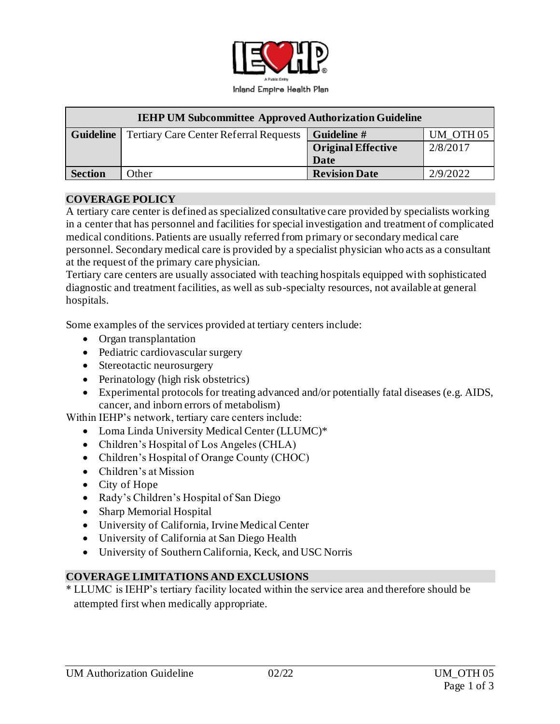

| <b>IEHP UM Subcommittee Approved Authorization Guideline</b> |                                               |                           |                      |
|--------------------------------------------------------------|-----------------------------------------------|---------------------------|----------------------|
| <b>Guideline</b>                                             | <b>Tertiary Care Center Referral Requests</b> | <b>Guideline #</b>        | UM OTH <sub>05</sub> |
|                                                              |                                               | <b>Original Effective</b> | 2/8/2017             |
|                                                              |                                               | Date                      |                      |
| <b>Section</b>                                               | Other                                         | <b>Revision Date</b>      | 2/9/2022             |

### **COVERAGE POLICY**

A tertiary care center is defined as specialized consultative care provided by specialists working in a center that has personnel and facilities for special investigation and treatment of complicated medical conditions. Patients are usually referred from primary or secondary medical care personnel. Secondary medical care is provided by a specialist physician who acts as a consultant at the request of the primary care physician.

Tertiary care centers are usually associated with teaching hospitals equipped with sophisticated diagnostic and treatment facilities, as well as sub-specialty resources, not available at general hospitals.

Some examples of the services provided at tertiary centers include:

- Organ transplantation
- Pediatric cardiovascular surgery
- Stereotactic neurosurgery
- Perinatology (high risk obstetrics)
- Experimental protocols for treating advanced and/or potentially fatal diseases (e.g. AIDS, cancer, and inborn errors of metabolism)

Within IEHP's network, tertiary care centers include:

- Loma Linda University Medical Center (LLUMC)\*
- Children's Hospital of Los Angeles (CHLA)
- Children's Hospital of Orange County (CHOC)
- Children's at Mission
- City of Hope
- Rady's Children's Hospital of San Diego
- Sharp Memorial Hospital
- University of California, Irvine Medical Center
- University of California at San Diego Health
- University of Southern California, Keck, and USC Norris

#### **COVERAGE LIMITATIONS AND EXCLUSIONS**

\* LLUMC is IEHP's tertiary facility located within the service area and therefore should be attempted first when medically appropriate.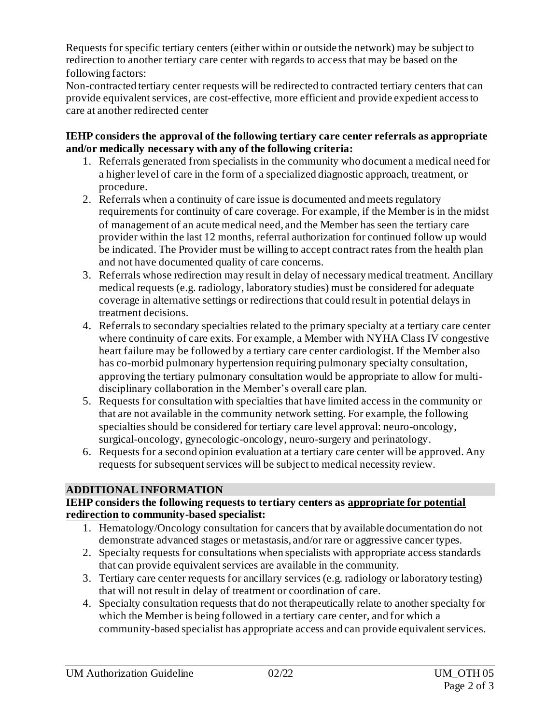Requests for specific tertiary centers (either within or outside the network) may be subject to redirection to another tertiary care center with regards to access that may be based on the following factors:

Non-contracted tertiary center requests will be redirected to contracted tertiary centers that can provide equivalent services, are cost-effective, more efficient and provide expedient access to care at another redirected center

#### **IEHP considers the approval of the following tertiary care center referrals as appropriate and/or medically necessary with any of the following criteria:**

- 1. Referrals generated from specialists in the community who document a medical need for a higher level of care in the form of a specialized diagnostic approach, treatment, or procedure.
- 2. Referrals when a continuity of care issue is documented and meets regulatory requirements for continuity of care coverage. For example, if the Member is in the midst of management of an acute medical need, and the Member has seen the tertiary care provider within the last 12 months, referral authorization for continued follow up would be indicated. The Provider must be willing to accept contract rates from the health plan and not have documented quality of care concerns.
- 3. Referrals whose redirection may result in delay of necessary medical treatment. Ancillary medical requests (e.g. radiology, laboratory studies) must be considered for adequate coverage in alternative settings or redirections that could result in potential delays in treatment decisions.
- 4. Referrals to secondary specialties related to the primary specialty at a tertiary care center where continuity of care exits. For example, a Member with NYHA Class IV congestive heart failure may be followed by a tertiary care center cardiologist. If the Member also has co-morbid pulmonary hypertension requiring pulmonary specialty consultation, approving the tertiary pulmonary consultation would be appropriate to allow for multidisciplinary collaboration in the Member's overall care plan.
- 5. Requests for consultation with specialties that have limited access in the community or that are not available in the community network setting. For example, the following specialties should be considered for tertiary care level approval: neuro-oncology, surgical-oncology, gynecologic-oncology, neuro-surgery and perinatology.
- 6. Requests for a second opinion evaluation at a tertiary care center will be approved. Any requests for subsequent services will be subject to medical necessity review.

## **ADDITIONAL INFORMATION**

### **IEHP considers the following requests to tertiary centers as appropriate for potential redirection to community-based specialist:**

- 1. Hematology/Oncology consultation for cancers that by available documentation do not demonstrate advanced stages or metastasis, and/or rare or aggressive cancer types.
- 2. Specialty requests for consultations when specialists with appropriate access standards that can provide equivalent services are available in the community.
- 3. Tertiary care center requests for ancillary services (e.g. radiology or laboratory testing) that will not result in delay of treatment or coordination of care.
- 4. Specialty consultation requests that do not therapeutically relate to another specialty for which the Member is being followed in a tertiary care center, and for which a community-based specialist has appropriate access and can provide equivalent services.